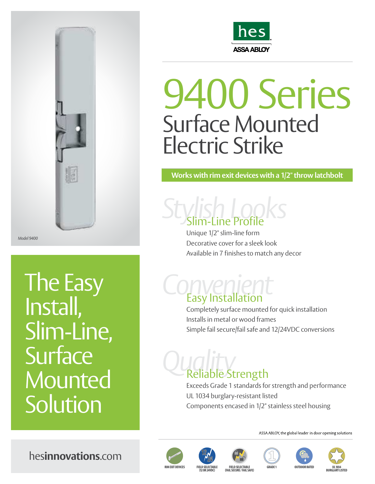

*Model 9400*

The Easy Install, Slim-Line, **Surface Mounted Solution** 



## 9400 Series Surface Mounted Electric Strike

**Works with rim exit devices with a 1/2" throw latchbolt**

*Stylish Looks* Slim-Line Profile

> Unique 1/2" slim-line form Decorative cover for a sleek look Available in 7 finishes to match any decor

# *Convenient* Easy Installation

Completely surface mounted for quick installation Installs in metal or wood frames Simple fail secure/fail safe and 12/24VDC conversions

# *Quality* Reliable Strength

Exceeds Grade 1 standards for strength and performance UL 1034 burglary-resistant listed Components encased in 1/2" stainless steel housing

ASSA ABLOY, the global leader in door opening solutions

hes**innovations**.com













**RIM EXIT DEVICES** 

**(12 OR 24VDC) FIELD SELECTABLE (FAIL SECURE / FAIL SAFE)**